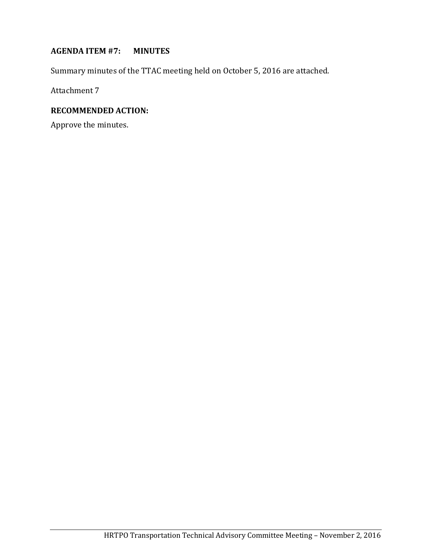#### **AGENDA ITEM #7: MINUTES**

Summary minutes of the TTAC meeting held on October 5, 2016 are attached.

Attachment 7

# **RECOMMENDED ACTION:**

Approve the minutes.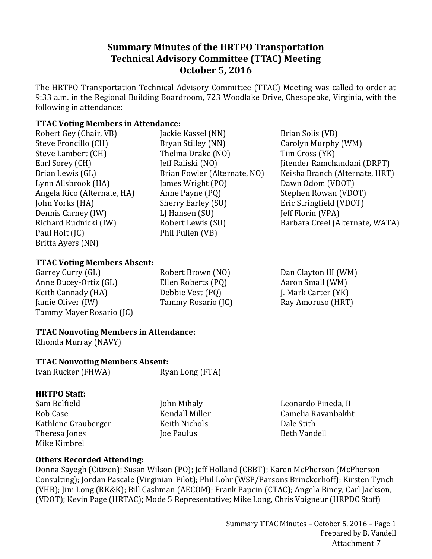# **Summary Minutes of the HRTPO Transportation Technical Advisory Committee (TTAC) Meeting October 5, 2016**

The HRTPO Transportation Technical Advisory Committee (TTAC) Meeting was called to order at 9:33 a.m. in the Regional Building Boardroom, 723 Woodlake Drive, Chesapeake, Virginia, with the following in attendance:

### **TTAC Voting Members in Attendance:**

- Robert Gey (Chair, VB) Steve Froncillo (CH) Steve Lambert (CH) Earl Sorey (CH) Brian Lewis (GL) Lynn Allsbrook (HA) Angela Rico (Alternate, HA) John Yorks (HA) Dennis Carney (IW) Richard Rudnicki (IW) Paul Holt (JC) Britta Ayers (NN)
- Jackie Kassel (NN) Bryan Stilley (NN) Thelma Drake (NO) Jeff Raliski (NO) Brian Fowler (Alternate, NO) James Wright (PO) Anne Payne (PQ) Sherry Earley (SU) LJ Hansen (SU) Robert Lewis (SU) Phil Pullen (VB)

Brian Solis (VB) Carolyn Murphy (WM) Tim Cross (YK) Jitender Ramchandani (DRPT) Keisha Branch (Alternate, HRT) Dawn Odom (VDOT) Stephen Rowan (VDOT) Eric Stringfield (VDOT) Jeff Florin (VPA) Barbara Creel (Alternate, WATA)

### **TTAC Voting Members Absent:**

Garrey Curry (GL) Anne Ducey-Ortiz (GL) Keith Cannady (HA) Jamie Oliver (IW) Tammy Mayer Rosario (JC) Robert Brown (NO) Ellen Roberts (PQ) Debbie Vest (PQ) Tammy Rosario (JC) Dan Clayton III (WM) Aaron Small (WM) J. Mark Carter (YK) Ray Amoruso (HRT)

# **TTAC Nonvoting Members in Attendance:**

Rhonda Murray (NAVY)

## **TTAC Nonvoting Members Absent:**

Ivan Rucker (FHWA) Ryan Long (FTA)

### **HRTPO Staff:**

- Sam Belfield Rob Case Kathlene Grauberger Theresa Jones Mike Kimbrel
- John Mihaly Kendall Miller Keith Nichols Joe Paulus

Leonardo Pineda, II Camelia Ravanbakht Dale Stith Beth Vandell

# **Others Recorded Attending:**

Donna Sayegh (Citizen); Susan Wilson (PO); Jeff Holland (CBBT); Karen McPherson (McPherson Consulting); Jordan Pascale (Virginian-Pilot); Phil Lohr (WSP/Parsons Brinckerhoff); Kirsten Tynch (VHB); Jim Long (RK&K); Bill Cashman (AECOM); Frank Papcin (CTAC); Angela Biney, Carl Jackson, (VDOT); Kevin Page (HRTAC); Mode 5 Representative; Mike Long, Chris Vaigneur (HRPDC Staff)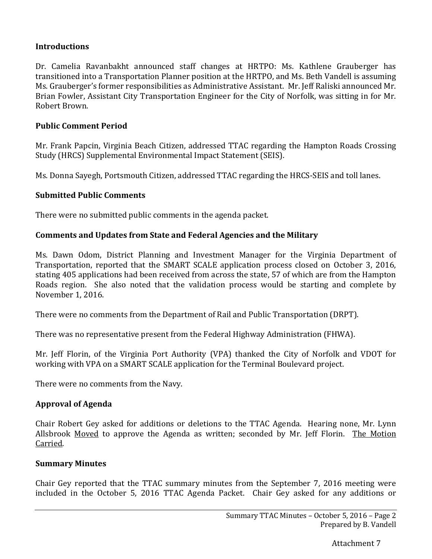### **Introductions**

Dr. Camelia Ravanbakht announced staff changes at HRTPO: Ms. Kathlene Grauberger has transitioned into a Transportation Planner position at the HRTPO, and Ms. Beth Vandell is assuming Ms. Grauberger's former responsibilities as Administrative Assistant. Mr. Jeff Raliski announced Mr. Brian Fowler, Assistant City Transportation Engineer for the City of Norfolk, was sitting in for Mr. Robert Brown.

### **Public Comment Period**

Mr. Frank Papcin, Virginia Beach Citizen, addressed TTAC regarding the Hampton Roads Crossing Study (HRCS) Supplemental Environmental Impact Statement (SEIS).

Ms. Donna Sayegh, Portsmouth Citizen, addressed TTAC regarding the HRCS-SEIS and toll lanes.

### **Submitted Public Comments**

There were no submitted public comments in the agenda packet.

### **Comments and Updates from State and Federal Agencies and the Military**

Ms. Dawn Odom, District Planning and Investment Manager for the Virginia Department of Transportation, reported that the SMART SCALE application process closed on October 3, 2016, stating 405 applications had been received from across the state, 57 of which are from the Hampton Roads region. She also noted that the validation process would be starting and complete by November 1, 2016.

There were no comments from the Department of Rail and Public Transportation (DRPT).

There was no representative present from the Federal Highway Administration (FHWA).

Mr. Jeff Florin, of the Virginia Port Authority (VPA) thanked the City of Norfolk and VDOT for working with VPA on a SMART SCALE application for the Terminal Boulevard project.

There were no comments from the Navy.

### **Approval of Agenda**

Chair Robert Gey asked for additions or deletions to the TTAC Agenda. Hearing none, Mr. Lynn Allsbrook Moved to approve the Agenda as written; seconded by Mr. Jeff Florin. The Motion Carried.

### **Summary Minutes**

Chair Gey reported that the TTAC summary minutes from the September 7, 2016 meeting were included in the October 5, 2016 TTAC Agenda Packet. Chair Gey asked for any additions or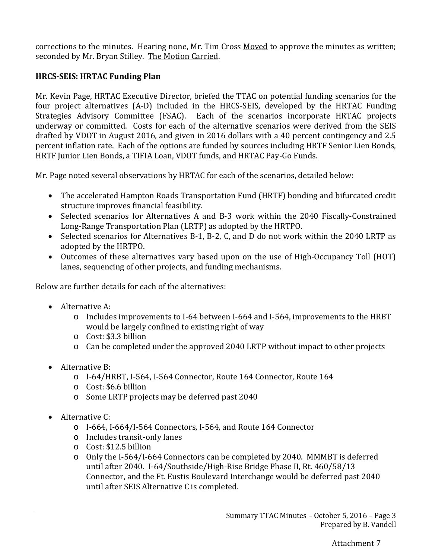corrections to the minutes. Hearing none, Mr. Tim Cross Moved to approve the minutes as written; seconded by Mr. Bryan Stilley. The Motion Carried.

### **HRCS-SEIS: HRTAC Funding Plan**

Mr. Kevin Page, HRTAC Executive Director, briefed the TTAC on potential funding scenarios for the four project alternatives (A-D) included in the HRCS-SEIS, developed by the HRTAC Funding Strategies Advisory Committee (FSAC). Each of the scenarios incorporate HRTAC projects underway or committed. Costs for each of the alternative scenarios were derived from the SEIS drafted by VDOT in August 2016, and given in 2016 dollars with a 40 percent contingency and 2.5 percent inflation rate. Each of the options are funded by sources including HRTF Senior Lien Bonds, HRTF Junior Lien Bonds, a TIFIA Loan, VDOT funds, and HRTAC Pay-Go Funds.

Mr. Page noted several observations by HRTAC for each of the scenarios, detailed below:

- The accelerated Hampton Roads Transportation Fund (HRTF) bonding and bifurcated credit structure improves financial feasibility.
- Selected scenarios for Alternatives A and B-3 work within the 2040 Fiscally-Constrained Long-Range Transportation Plan (LRTP) as adopted by the HRTPO.
- Selected scenarios for Alternatives B-1, B-2, C, and D do not work within the 2040 LRTP as adopted by the HRTPO.
- Outcomes of these alternatives vary based upon on the use of High-Occupancy Toll (HOT) lanes, sequencing of other projects, and funding mechanisms.

Below are further details for each of the alternatives:

- Alternative A:
	- o Includes improvements to I-64 between I-664 and I-564, improvements to the HRBT would be largely confined to existing right of way
	- o Cost: \$3.3 billion
	- o Can be completed under the approved 2040 LRTP without impact to other projects
- Alternative B:
	- o I-64/HRBT, I-564, I-564 Connector, Route 164 Connector, Route 164
	- o Cost: \$6.6 billion
	- o Some LRTP projects may be deferred past 2040
- Alternative C:
	- o I-664, I-664/I-564 Connectors, I-564, and Route 164 Connector
	- o Includes transit-only lanes
	- o Cost: \$12.5 billion
	- o Only the I-564/I-664 Connectors can be completed by 2040. MMMBT is deferred until after 2040. I-64/Southside/High-Rise Bridge Phase II, Rt. 460/58/13 Connector, and the Ft. Eustis Boulevard Interchange would be deferred past 2040 until after SEIS Alternative C is completed.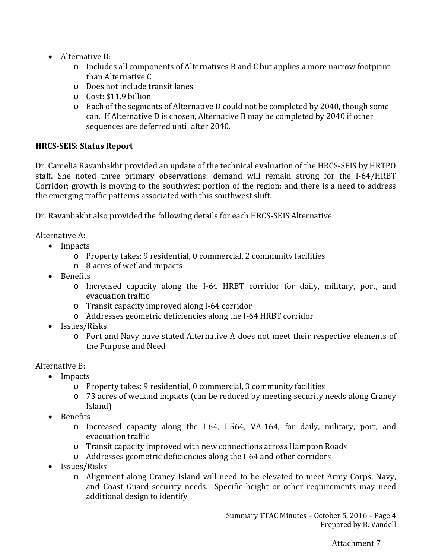- Alternative D:
	- o Includes all components of Alternatives B and C but applies a more narrow footprint than Alternative C
	- o Does not include transit lanes
	- o Cost: \$11.9 billion
	- o Each of the segments of Alternative D could not be completed by 2040, though some can. If Alternative D is chosen, Alternative B may be completed by 2040 if other sequences are deferred until after 2040.

# **HRCS-SEIS: Status Report**

Dr. Camelia Ravanbakht provided an update of the technical evaluation of the HRCS-SEIS by HRTPO staff. She noted three primary observations: demand will remain strong for the I-64/HRBT Corridor; growth is moving to the southwest portion of the region; and there is a need to address the emerging traffic patterns associated with this southwest shift.

Dr. Ravanbakht also provided the following details for each HRCS-SEIS Alternative:

Alternative A:

- Impacts
	- o Property takes: 9 residential, 0 commercial, 2 community facilities
	- o 8 acres of wetland impacts
- Benefits
	- o Increased capacity along the I-64 HRBT corridor for daily, military, port, and evacuation traffic
	- o Transit capacity improved along I-64 corridor
	- o Addresses geometric deficiencies along the I-64 HRBT corridor
- Issues/Risks
	- o Port and Navy have stated Alternative A does not meet their respective elements of the Purpose and Need

Alternative B:

- Impacts
	- o Property takes: 9 residential, 0 commercial, 3 community facilities
	- o 73 acres of wetland impacts (can be reduced by meeting security needs along Craney Island)
- Benefits
	- o Increased capacity along the I-64, I-564, VA-164, for daily, military, port, and evacuation traffic
	- o Transit capacity improved with new connections across Hampton Roads
	- o Addresses geometric deficiencies along the I-64 and other corridors
- Issues/Risks
	- o Alignment along Craney Island will need to be elevated to meet Army Corps, Navy, and Coast Guard security needs. Specific height or other requirements may need additional design to identify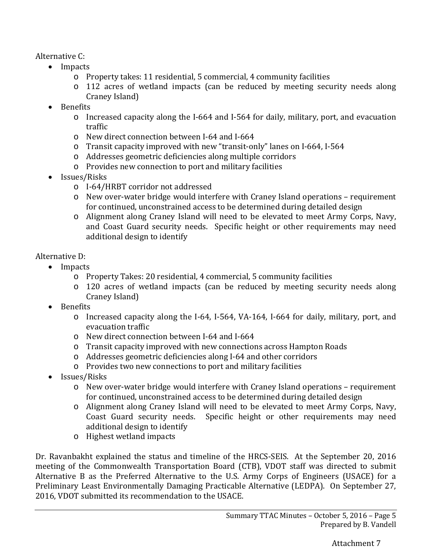Alternative C:

- Impacts
	- o Property takes: 11 residential, 5 commercial, 4 community facilities
	- o 112 acres of wetland impacts (can be reduced by meeting security needs along Craney Island)
- Benefits
	- o Increased capacity along the I-664 and I-564 for daily, military, port, and evacuation traffic
	- o New direct connection between I-64 and I-664
	- o Transit capacity improved with new "transit-only" lanes on I-664, I-564
	- o Addresses geometric deficiencies along multiple corridors
	- o Provides new connection to port and military facilities
- Issues/Risks
	- o I-64/HRBT corridor not addressed
	- o New over-water bridge would interfere with Craney Island operations requirement for continued, unconstrained access to be determined during detailed design
	- o Alignment along Craney Island will need to be elevated to meet Army Corps, Navy, and Coast Guard security needs. Specific height or other requirements may need additional design to identify

# Alternative D:

- Impacts
	- o Property Takes: 20 residential, 4 commercial, 5 community facilities
	- o 120 acres of wetland impacts (can be reduced by meeting security needs along Craney Island)
- Benefits
	- o Increased capacity along the I-64, I-564, VA-164, I-664 for daily, military, port, and evacuation traffic
	- o New direct connection between I-64 and I-664
	- o Transit capacity improved with new connections across Hampton Roads
	- o Addresses geometric deficiencies along I-64 and other corridors
	- o Provides two new connections to port and military facilities
- Issues/Risks
	- o New over-water bridge would interfere with Craney Island operations requirement for continued, unconstrained access to be determined during detailed design
	- o Alignment along Craney Island will need to be elevated to meet Army Corps, Navy, Coast Guard security needs. Specific height or other requirements may need additional design to identify
	- o Highest wetland impacts

Dr. Ravanbakht explained the status and timeline of the HRCS-SEIS. At the September 20, 2016 meeting of the Commonwealth Transportation Board (CTB), VDOT staff was directed to submit Alternative B as the Preferred Alternative to the U.S. Army Corps of Engineers (USACE) for a Preliminary Least Environmentally Damaging Practicable Alternative (LEDPA). On September 27, 2016, VDOT submitted its recommendation to the USACE.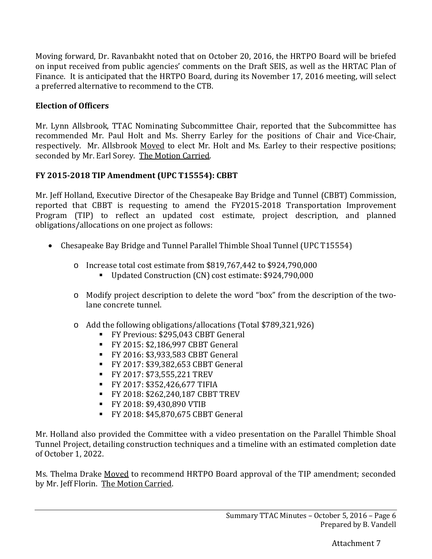Moving forward, Dr. Ravanbakht noted that on October 20, 2016, the HRTPO Board will be briefed on input received from public agencies' comments on the Draft SEIS, as well as the HRTAC Plan of Finance. It is anticipated that the HRTPO Board, during its November 17, 2016 meeting, will select a preferred alternative to recommend to the CTB.

## **Election of Officers**

Mr. Lynn Allsbrook, TTAC Nominating Subcommittee Chair, reported that the Subcommittee has recommended Mr. Paul Holt and Ms. Sherry Earley for the positions of Chair and Vice-Chair, respectively. Mr. Allsbrook Moved to elect Mr. Holt and Ms. Earley to their respective positions; seconded by Mr. Earl Sorey. The Motion Carried.

# **FY 2015-2018 TIP Amendment (UPC T15554): CBBT**

Mr. Jeff Holland, Executive Director of the Chesapeake Bay Bridge and Tunnel (CBBT) Commission, reported that CBBT is requesting to amend the FY2015-2018 Transportation Improvement Program (TIP) to reflect an updated cost estimate, project description, and planned obligations/allocations on one project as follows:

- Chesapeake Bay Bridge and Tunnel Parallel Thimble Shoal Tunnel (UPC T15554)
	- o Increase total cost estimate from \$819,767,442 to \$924,790,000
		- Updated Construction (CN) cost estimate: \$924,790,000
	- o Modify project description to delete the word "box" from the description of the twolane concrete tunnel.
	- o Add the following obligations/allocations (Total \$789,321,926)
		- FY Previous: \$295,043 CBBT General
		- FY 2015: \$2,186,997 CBBT General
		- FY 2016: \$3,933,583 CBBT General
		- FY 2017: \$39,382,653 CBBT General
		- FY 2017: \$73,555,221 TREV
		- FY 2017: \$352,426,677 TIFIA
		- FY 2018: \$262,240,187 CBBT TREV
		- FY 2018: \$9,430,890 VTIB
		- FY 2018: \$45,870,675 CBBT General

Mr. Holland also provided the Committee with a video presentation on the Parallel Thimble Shoal Tunnel Project, detailing construction techniques and a timeline with an estimated completion date of October 1, 2022.

Ms. Thelma Drake Moved to recommend HRTPO Board approval of the TIP amendment; seconded by Mr. Jeff Florin. The Motion Carried.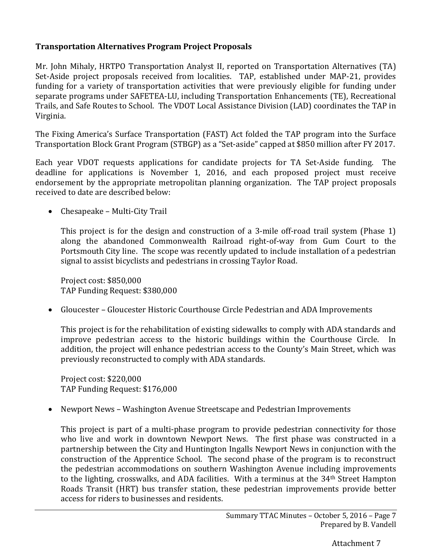### **Transportation Alternatives Program Project Proposals**

Mr. John Mihaly, HRTPO Transportation Analyst II, reported on Transportation Alternatives (TA) Set-Aside project proposals received from localities. TAP, established under MAP-21, provides funding for a variety of transportation activities that were previously eligible for funding under separate programs under SAFETEA-LU, including Transportation Enhancements (TE), Recreational Trails, and Safe Routes to School. The VDOT Local Assistance Division (LAD) coordinates the TAP in Virginia.

The Fixing America's Surface Transportation (FAST) Act folded the TAP program into the Surface Transportation Block Grant Program (STBGP) as a "Set-aside" capped at \$850 million after FY 2017.

Each year VDOT requests applications for candidate projects for TA Set-Aside funding. The deadline for applications is November 1, 2016, and each proposed project must receive endorsement by the appropriate metropolitan planning organization. The TAP project proposals received to date are described below:

• Chesapeake – Multi-City Trail

This project is for the design and construction of a 3-mile off-road trail system (Phase 1) along the abandoned Commonwealth Railroad right-of-way from Gum Court to the Portsmouth City line. The scope was recently updated to include installation of a pedestrian signal to assist bicyclists and pedestrians in crossing Taylor Road.

Project cost: \$850,000 TAP Funding Request: \$380,000

• Gloucester – Gloucester Historic Courthouse Circle Pedestrian and ADA Improvements

This project is for the rehabilitation of existing sidewalks to comply with ADA standards and improve pedestrian access to the historic buildings within the Courthouse Circle. In addition, the project will enhance pedestrian access to the County's Main Street, which was previously reconstructed to comply with ADA standards.

Project cost: \$220,000 TAP Funding Request: \$176,000

• Newport News – Washington Avenue Streetscape and Pedestrian Improvements

This project is part of a multi-phase program to provide pedestrian connectivity for those who live and work in downtown Newport News. The first phase was constructed in a partnership between the City and Huntington Ingalls Newport News in conjunction with the construction of the Apprentice School. The second phase of the program is to reconstruct the pedestrian accommodations on southern Washington Avenue including improvements to the lighting, crosswalks, and ADA facilities. With a terminus at the 34<sup>th</sup> Street Hampton Roads Transit (HRT) bus transfer station, these pedestrian improvements provide better access for riders to businesses and residents.

Attachment 7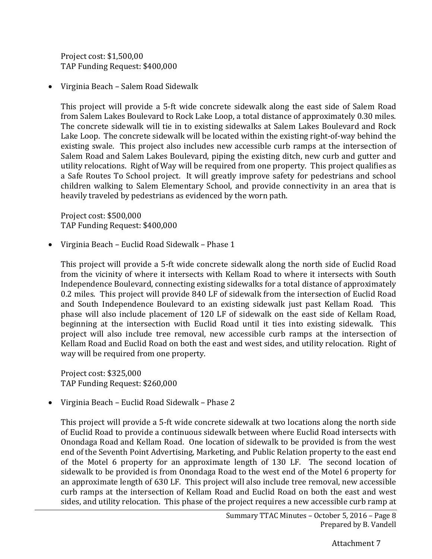Project cost: \$1,500,00 TAP Funding Request: \$400,000

• Virginia Beach – Salem Road Sidewalk

This project will provide a 5-ft wide concrete sidewalk along the east side of Salem Road from Salem Lakes Boulevard to Rock Lake Loop, a total distance of approximately 0.30 miles. The concrete sidewalk will tie in to existing sidewalks at Salem Lakes Boulevard and Rock Lake Loop. The concrete sidewalk will be located within the existing right-of-way behind the existing swale. This project also includes new accessible curb ramps at the intersection of Salem Road and Salem Lakes Boulevard, piping the existing ditch, new curb and gutter and utility relocations. Right of Way will be required from one property. This project qualifies as a Safe Routes To School project. It will greatly improve safety for pedestrians and school children walking to Salem Elementary School, and provide connectivity in an area that is heavily traveled by pedestrians as evidenced by the worn path.

Project cost: \$500,000 TAP Funding Request: \$400,000

• Virginia Beach – Euclid Road Sidewalk – Phase 1

This project will provide a 5-ft wide concrete sidewalk along the north side of Euclid Road from the vicinity of where it intersects with Kellam Road to where it intersects with South Independence Boulevard, connecting existing sidewalks for a total distance of approximately 0.2 miles. This project will provide 840 LF of sidewalk from the intersection of Euclid Road and South Independence Boulevard to an existing sidewalk just past Kellam Road. This phase will also include placement of 120 LF of sidewalk on the east side of Kellam Road, beginning at the intersection with Euclid Road until it ties into existing sidewalk. This project will also include tree removal, new accessible curb ramps at the intersection of Kellam Road and Euclid Road on both the east and west sides, and utility relocation. Right of way will be required from one property.

Project cost: \$325,000 TAP Funding Request: \$260,000

• Virginia Beach – Euclid Road Sidewalk – Phase 2

This project will provide a 5-ft wide concrete sidewalk at two locations along the north side of Euclid Road to provide a continuous sidewalk between where Euclid Road intersects with Onondaga Road and Kellam Road. One location of sidewalk to be provided is from the west end of the Seventh Point Advertising, Marketing, and Public Relation property to the east end of the Motel 6 property for an approximate length of 130 LF. The second location of sidewalk to be provided is from Onondaga Road to the west end of the Motel 6 property for an approximate length of 630 LF. This project will also include tree removal, new accessible curb ramps at the intersection of Kellam Road and Euclid Road on both the east and west sides, and utility relocation. This phase of the project requires a new accessible curb ramp at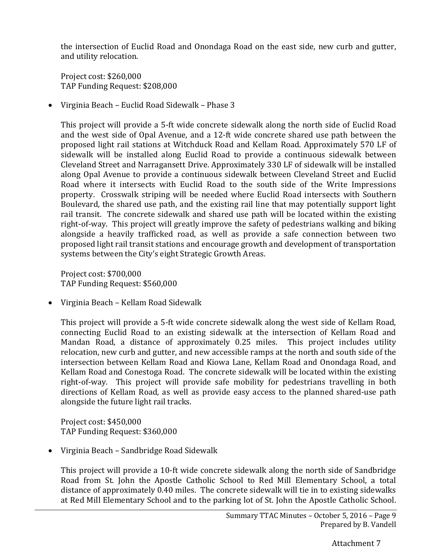the intersection of Euclid Road and Onondaga Road on the east side, new curb and gutter, and utility relocation.

Project cost: \$260,000 TAP Funding Request: \$208,000

• Virginia Beach – Euclid Road Sidewalk – Phase 3

This project will provide a 5-ft wide concrete sidewalk along the north side of Euclid Road and the west side of Opal Avenue, and a 12-ft wide concrete shared use path between the proposed light rail stations at Witchduck Road and Kellam Road. Approximately 570 LF of sidewalk will be installed along Euclid Road to provide a continuous sidewalk between Cleveland Street and Narragansett Drive. Approximately 330 LF of sidewalk will be installed along Opal Avenue to provide a continuous sidewalk between Cleveland Street and Euclid Road where it intersects with Euclid Road to the south side of the Write Impressions property. Crosswalk striping will be needed where Euclid Road intersects with Southern Boulevard, the shared use path, and the existing rail line that may potentially support light rail transit. The concrete sidewalk and shared use path will be located within the existing right-of-way. This project will greatly improve the safety of pedestrians walking and biking alongside a heavily trafficked road, as well as provide a safe connection between two proposed light rail transit stations and encourage growth and development of transportation systems between the City's eight Strategic Growth Areas.

Project cost: \$700,000 TAP Funding Request: \$560,000

• Virginia Beach – Kellam Road Sidewalk

This project will provide a 5-ft wide concrete sidewalk along the west side of Kellam Road, connecting Euclid Road to an existing sidewalk at the intersection of Kellam Road and Mandan Road, a distance of approximately 0.25 miles. This project includes utility relocation, new curb and gutter, and new accessible ramps at the north and south side of the intersection between Kellam Road and Kiowa Lane, Kellam Road and Onondaga Road, and Kellam Road and Conestoga Road. The concrete sidewalk will be located within the existing right-of-way. This project will provide safe mobility for pedestrians travelling in both directions of Kellam Road, as well as provide easy access to the planned shared-use path alongside the future light rail tracks.

Project cost: \$450,000 TAP Funding Request: \$360,000

• Virginia Beach – Sandbridge Road Sidewalk

This project will provide a 10-ft wide concrete sidewalk along the north side of Sandbridge Road from St. John the Apostle Catholic School to Red Mill Elementary School, a total distance of approximately 0.40 miles. The concrete sidewalk will tie in to existing sidewalks at Red Mill Elementary School and to the parking lot of St. John the Apostle Catholic School.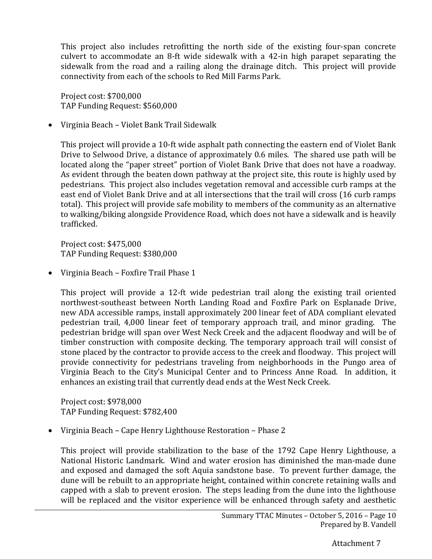This project also includes retrofitting the north side of the existing four-span concrete culvert to accommodate an 8-ft wide sidewalk with a 42-in high parapet separating the sidewalk from the road and a railing along the drainage ditch. This project will provide connectivity from each of the schools to Red Mill Farms Park.

Project cost: \$700,000 TAP Funding Request: \$560,000

• Virginia Beach – Violet Bank Trail Sidewalk

This project will provide a 10-ft wide asphalt path connecting the eastern end of Violet Bank Drive to Selwood Drive, a distance of approximately 0.6 miles. The shared use path will be located along the "paper street" portion of Violet Bank Drive that does not have a roadway. As evident through the beaten down pathway at the project site, this route is highly used by pedestrians. This project also includes vegetation removal and accessible curb ramps at the east end of Violet Bank Drive and at all intersections that the trail will cross (16 curb ramps total). This project will provide safe mobility to members of the community as an alternative to walking/biking alongside Providence Road, which does not have a sidewalk and is heavily trafficked.

Project cost: \$475,000 TAP Funding Request: \$380,000

• Virginia Beach – Foxfire Trail Phase 1

This project will provide a 12-ft wide pedestrian trail along the existing trail oriented northwest-southeast between North Landing Road and Foxfire Park on Esplanade Drive, new ADA accessible ramps, install approximately 200 linear feet of ADA compliant elevated pedestrian trail, 4,000 linear feet of temporary approach trail, and minor grading. The pedestrian bridge will span over West Neck Creek and the adjacent floodway and will be of timber construction with composite decking. The temporary approach trail will consist of stone placed by the contractor to provide access to the creek and floodway. This project will provide connectivity for pedestrians traveling from neighborhoods in the Pungo area of Virginia Beach to the City's Municipal Center and to Princess Anne Road. In addition, it enhances an existing trail that currently dead ends at the West Neck Creek.

Project cost: \$978,000 TAP Funding Request: \$782,400

• Virginia Beach – Cape Henry Lighthouse Restoration – Phase 2

This project will provide stabilization to the base of the 1792 Cape Henry Lighthouse, a National Historic Landmark. Wind and water erosion has diminished the man-made dune and exposed and damaged the soft Aquia sandstone base. To prevent further damage, the dune will be rebuilt to an appropriate height, contained within concrete retaining walls and capped with a slab to prevent erosion. The steps leading from the dune into the lighthouse will be replaced and the visitor experience will be enhanced through safety and aesthetic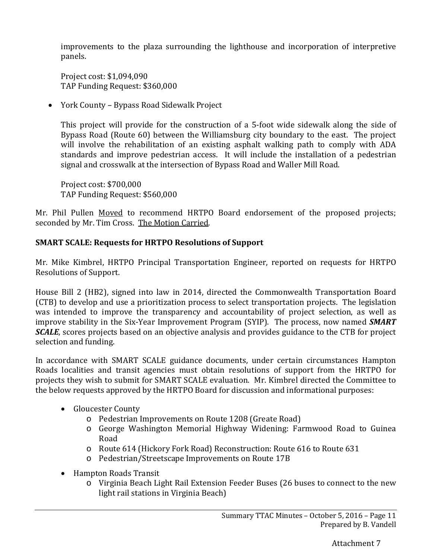improvements to the plaza surrounding the lighthouse and incorporation of interpretive panels.

Project cost: \$1,094,090 TAP Funding Request: \$360,000

• York County – Bypass Road Sidewalk Project

This project will provide for the construction of a 5-foot wide sidewalk along the side of Bypass Road (Route 60) between the Williamsburg city boundary to the east. The project will involve the rehabilitation of an existing asphalt walking path to comply with ADA standards and improve pedestrian access. It will include the installation of a pedestrian signal and crosswalk at the intersection of Bypass Road and Waller Mill Road.

Project cost: \$700,000 TAP Funding Request: \$560,000

Mr. Phil Pullen Moved to recommend HRTPO Board endorsement of the proposed projects; seconded by Mr. Tim Cross. The Motion Carried.

### **SMART SCALE: Requests for HRTPO Resolutions of Support**

Mr. Mike Kimbrel, HRTPO Principal Transportation Engineer, reported on requests for HRTPO Resolutions of Support.

House Bill 2 (HB2), signed into law in 2014, directed the Commonwealth Transportation Board (CTB) to develop and use a prioritization process to select transportation projects. The legislation was intended to improve the transparency and accountability of project selection, as well as improve stability in the Six-Year Improvement Program (SYIP). The process, now named *SMART SCALE*, scores projects based on an objective analysis and provides guidance to the CTB for project selection and funding.

In accordance with SMART SCALE guidance documents, under certain circumstances Hampton Roads localities and transit agencies must obtain resolutions of support from the HRTPO for projects they wish to submit for SMART SCALE evaluation. Mr. Kimbrel directed the Committee to the below requests approved by the HRTPO Board for discussion and informational purposes:

- Gloucester County
	- o Pedestrian Improvements on Route 1208 (Greate Road)
	- o George Washington Memorial Highway Widening: Farmwood Road to Guinea Road
	- o Route 614 (Hickory Fork Road) Reconstruction: Route 616 to Route 631
	- o Pedestrian/Streetscape Improvements on Route 17B
- Hampton Roads Transit
	- o Virginia Beach Light Rail Extension Feeder Buses (26 buses to connect to the new light rail stations in Virginia Beach)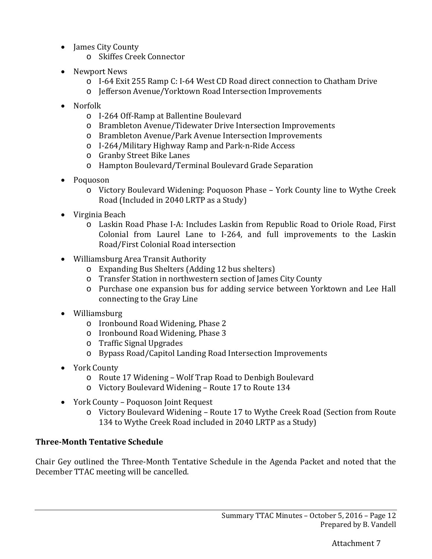- James City County
	- o Skiffes Creek Connector
- Newport News
	- o I-64 Exit 255 Ramp C: I-64 West CD Road direct connection to Chatham Drive
	- o Jefferson Avenue/Yorktown Road Intersection Improvements
- Norfolk
	- o I-264 Off-Ramp at Ballentine Boulevard
	- o Brambleton Avenue/Tidewater Drive Intersection Improvements
	- o Brambleton Avenue/Park Avenue Intersection Improvements
	- o I-264/Military Highway Ramp and Park-n-Ride Access
	- o Granby Street Bike Lanes
	- o Hampton Boulevard/Terminal Boulevard Grade Separation
- Poquoson
	- o Victory Boulevard Widening: Poquoson Phase York County line to Wythe Creek Road (Included in 2040 LRTP as a Study)
- Virginia Beach
	- o Laskin Road Phase I-A: Includes Laskin from Republic Road to Oriole Road, First Colonial from Laurel Lane to I-264, and full improvements to the Laskin Road/First Colonial Road intersection
- Williamsburg Area Transit Authority
	- o Expanding Bus Shelters (Adding 12 bus shelters)
	- o Transfer Station in northwestern section of James City County
	- o Purchase one expansion bus for adding service between Yorktown and Lee Hall connecting to the Gray Line
- Williamsburg
	- o Ironbound Road Widening, Phase 2
	- o Ironbound Road Widening, Phase 3
	- o Traffic Signal Upgrades
	- o Bypass Road/Capitol Landing Road Intersection Improvements
- York County
	- o Route 17 Widening Wolf Trap Road to Denbigh Boulevard
	- o Victory Boulevard Widening Route 17 to Route 134
- York County Poquoson Joint Request
	- o Victory Boulevard Widening Route 17 to Wythe Creek Road (Section from Route 134 to Wythe Creek Road included in 2040 LRTP as a Study)

# **Three-Month Tentative Schedule**

Chair Gey outlined the Three-Month Tentative Schedule in the Agenda Packet and noted that the December TTAC meeting will be cancelled.